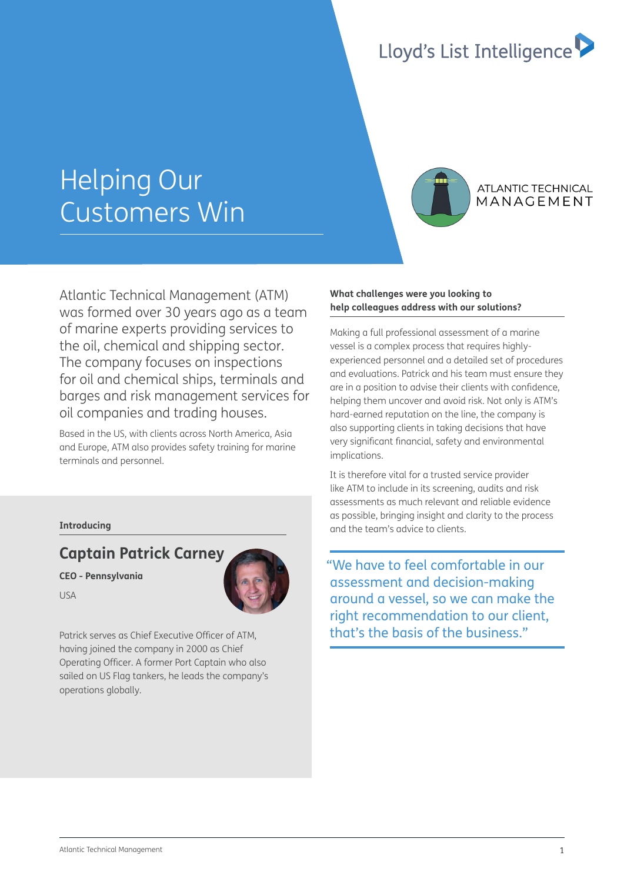## Lloyd's List Intelligence

# Helping Our Customers Win



## **ATLANTIC TECHNICAL** MANAGEMENT

Atlantic Technical Management (ATM) was formed over 30 years ago as a team of marine experts providing services to the oil, chemical and shipping sector. The company focuses on inspections for oil and chemical ships, terminals and barges and risk management services for oil companies and trading houses.

Based in the US, with clients across North America, Asia and Europe, ATM also provides safety training for marine terminals and personnel.

## **Introducing**

## **Captain Patrick Carney**

**CEO - Pennsylvania** 

USA



Patrick serves as Chief Executive Officer of ATM. having joined the company in 2000 as Chief Operating Officer. A former Port Captain who also sailed on US Flag tankers, he leads the company's operations globally.

## **What challenges were you looking to help colleagues address with our solutions?**

Making a full professional assessment of a marine vessel is a complex process that requires highlyexperienced personnel and a detailed set of procedures and evaluations. Patrick and his team must ensure they are in a position to advise their clients with confidence. helping them uncover and avoid risk. Not only is ATM's hard-earned reputation on the line, the company is also supporting clients in taking decisions that have very significant financial, safety and environmental implications.

It is therefore vital for a trusted service provider like ATM to include in its screening, audits and risk assessments as much relevant and reliable evidence as possible, bringing insight and clarity to the process and the team's advice to clients.

"We have to feel comfortable in our assessment and decision-making around a vessel, so we can make the right recommendation to our client, that's the basis of the business."